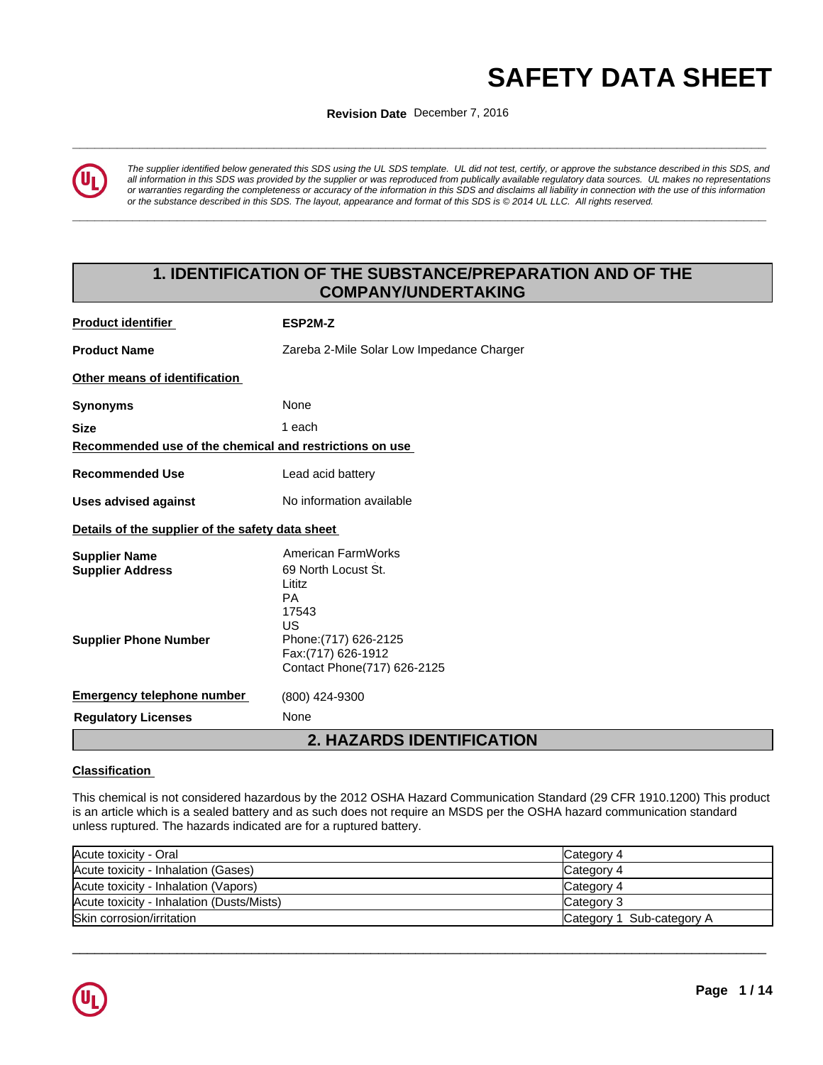# **AFETY DATA SHEET**<br>Revision Date December 7, 2016<br>And the December 7, 2016

**ISSUING THE ISSUING DATE:** 15-FEB-2016 **Revision Date** December 7, 2016



*The supplier identified below generated this SDS using the UL SDS template. UL did not test, certify, or approve the substance described in this SDS, and all information in this SDS was provided by the supplier or was reproduced from publically available regulatory data sources. UL makes no representations or warranties regarding the completeness or accuracy of the information in this SDS and disclaims all liability in connection with the use of this information* or the substance described in this SDS. The layout, appearance and format of this SDS is @2014 UL LLC. All rights reserved.

**\_\_\_\_\_\_\_\_\_\_\_\_\_\_\_\_\_\_\_\_\_\_\_\_\_\_\_\_\_\_\_\_\_\_\_\_\_\_\_\_\_\_\_\_\_\_\_\_\_\_\_\_\_\_\_\_\_\_\_\_\_\_\_\_\_\_\_\_\_\_\_\_\_\_\_\_\_\_\_\_\_\_\_\_\_\_\_\_\_\_\_\_\_**

# **1. IDENTIFICATION OF THE SUBSTANCE/PREPARATION AND OF THE COMPANY/UNDERTAKING**

| <b>Product identifier</b>                               | ESP2M-Z                                                                         |
|---------------------------------------------------------|---------------------------------------------------------------------------------|
| <b>Product Name</b>                                     | Zareba 2-Mile Solar Low Impedance Charger                                       |
| Other means of identification                           |                                                                                 |
| <b>Synonyms</b>                                         | None                                                                            |
| <b>Size</b>                                             | 1 each                                                                          |
| Recommended use of the chemical and restrictions on use |                                                                                 |
| <b>Recommended Use</b>                                  | Lead acid battery                                                               |
| <b>Uses advised against</b>                             | No information available                                                        |
| Details of the supplier of the safety data sheet        |                                                                                 |
| <b>Supplier Name</b><br><b>Supplier Address</b>         | American FarmWorks<br>69 North Locust St.<br>Lititz<br><b>PA</b><br>17543<br>US |
| <b>Supplier Phone Number</b>                            | Phone: (717) 626-2125<br>Fax: (717) 626-1912<br>Contact Phone(717) 626-2125     |
| <b>Emergency telephone number</b>                       | (800) 424-9300                                                                  |
| <b>Regulatory Licenses</b>                              | None                                                                            |
|                                                         | <b>2. HAZARDS IDENTIFICATION</b>                                                |

# **Classification**

This chemical is not considered hazardous by the 2012 OSHA Hazard Communication Standard (29 CFR 1910.1200) This product is an article which is a sealed battery and as such does not require an MSDS per the OSHA hazard communication standard unless ruptured. The hazards indicated are for a ruptured battery.

| Acute toxicity - Oral                     | Category 4                |
|-------------------------------------------|---------------------------|
| Acute toxicity - Inhalation (Gases)       | Category 4                |
| Acute toxicity - Inhalation (Vapors)      | Category 4                |
| Acute toxicity - Inhalation (Dusts/Mists) | Category 3                |
| Skin corrosion/irritation                 | Category 1 Sub-category A |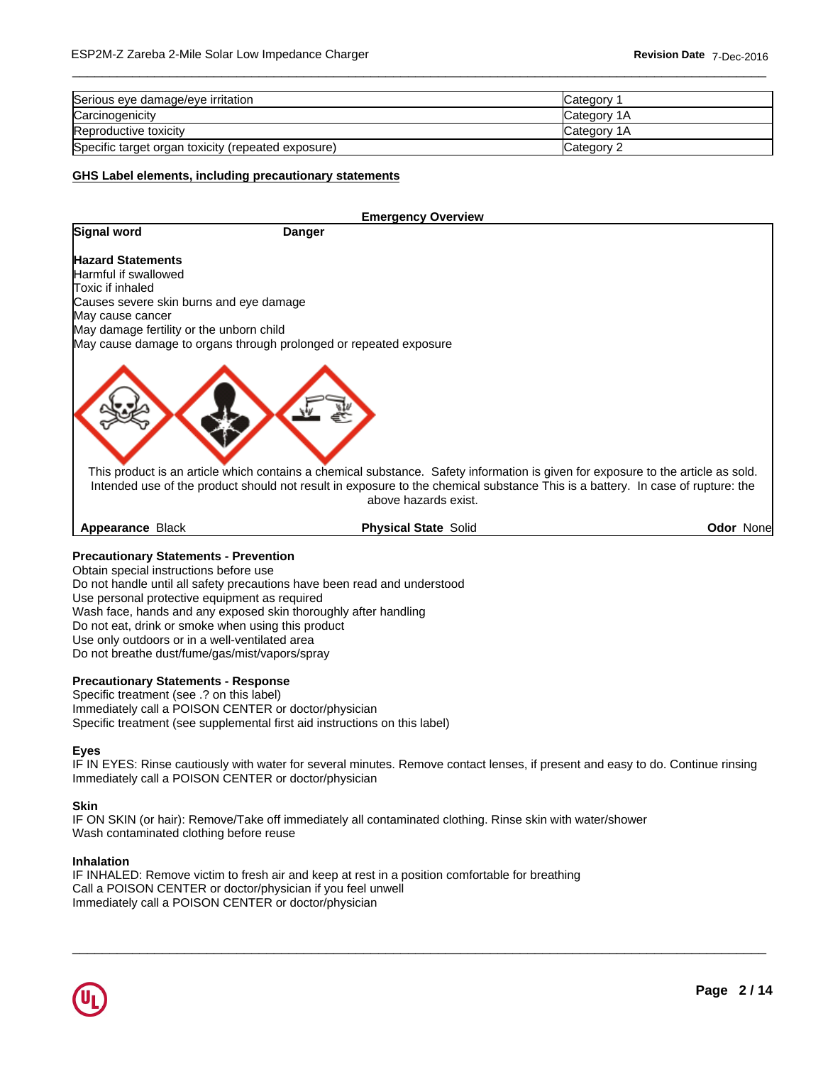| Serious eye damage/eye irritation                  | Category           |
|----------------------------------------------------|--------------------|
| Carcinogenicity                                    | <b>Category 1A</b> |
| Reproductive toxicity                              | Category 1A        |
| Specific target organ toxicity (repeated exposure) | Category 2         |

 $\overline{\phantom{a}}$  ,  $\overline{\phantom{a}}$  ,  $\overline{\phantom{a}}$  ,  $\overline{\phantom{a}}$  ,  $\overline{\phantom{a}}$  ,  $\overline{\phantom{a}}$  ,  $\overline{\phantom{a}}$  ,  $\overline{\phantom{a}}$  ,  $\overline{\phantom{a}}$  ,  $\overline{\phantom{a}}$  ,  $\overline{\phantom{a}}$  ,  $\overline{\phantom{a}}$  ,  $\overline{\phantom{a}}$  ,  $\overline{\phantom{a}}$  ,  $\overline{\phantom{a}}$  ,  $\overline{\phantom{a}}$ 

# **GHS Label elements, including precautionary statements**

|                                          | <b>Emergency Overview</b>                                                                                                                                                                                                                                                                  |                   |
|------------------------------------------|--------------------------------------------------------------------------------------------------------------------------------------------------------------------------------------------------------------------------------------------------------------------------------------------|-------------------|
| Signal word                              | Danger                                                                                                                                                                                                                                                                                     |                   |
| <b>Hazard Statements</b>                 |                                                                                                                                                                                                                                                                                            |                   |
| Harmful if swallowed                     |                                                                                                                                                                                                                                                                                            |                   |
| Toxic if inhaled                         |                                                                                                                                                                                                                                                                                            |                   |
| Causes severe skin burns and eye damage  |                                                                                                                                                                                                                                                                                            |                   |
| May cause cancer                         |                                                                                                                                                                                                                                                                                            |                   |
| May damage fertility or the unborn child |                                                                                                                                                                                                                                                                                            |                   |
|                                          | May cause damage to organs through prolonged or repeated exposure                                                                                                                                                                                                                          |                   |
|                                          | This product is an article which contains a chemical substance. Safety information is given for exposure to the article as sold.<br>Intended use of the product should not result in exposure to the chemical substance This is a battery. In case of rupture: the<br>above hazards exist. |                   |
| <b>Appearance Black</b>                  | <b>Physical State Solid</b>                                                                                                                                                                                                                                                                | <b>Odor Nonel</b> |

#### **Precautionary Statements - Prevention**

Obtain special instructions before use Do not handle until all safety precautions have been read and understood Use personal protective equipment as required Wash face, hands and any exposed skin thoroughly after handling Do not eat, drink or smoke when using this product Use only outdoors or in a well-ventilated area Do not breathe dust/fume/gas/mist/vapors/spray

### **Precautionary Statements - Response**

Specific treatment (see .? on this label) Immediately call a POISON CENTER or doctor/physician Specific treatment (see supplemental first aid instructions on this label)

#### **Eyes**

IF IN EYES: Rinse cautiously with water for several minutes. Remove contact lenses, if present and easy to do. Continue rinsing Immediately call a POISON CENTER or doctor/physician

 $\overline{\phantom{a}}$  ,  $\overline{\phantom{a}}$  ,  $\overline{\phantom{a}}$  ,  $\overline{\phantom{a}}$  ,  $\overline{\phantom{a}}$  ,  $\overline{\phantom{a}}$  ,  $\overline{\phantom{a}}$  ,  $\overline{\phantom{a}}$  ,  $\overline{\phantom{a}}$  ,  $\overline{\phantom{a}}$  ,  $\overline{\phantom{a}}$  ,  $\overline{\phantom{a}}$  ,  $\overline{\phantom{a}}$  ,  $\overline{\phantom{a}}$  ,  $\overline{\phantom{a}}$  ,  $\overline{\phantom{a}}$ 

#### **Skin**

IF ON SKIN (or hair): Remove/Take off immediately all contaminated clothing. Rinse skin with water/shower Wash contaminated clothing before reuse

### **Inhalation**

IF INHALED: Remove victim to fresh air and keep at rest in a position comfortable for breathing Call a POISON CENTER or doctor/physician if you feel unwell Immediately call a POISON CENTER or doctor/physician

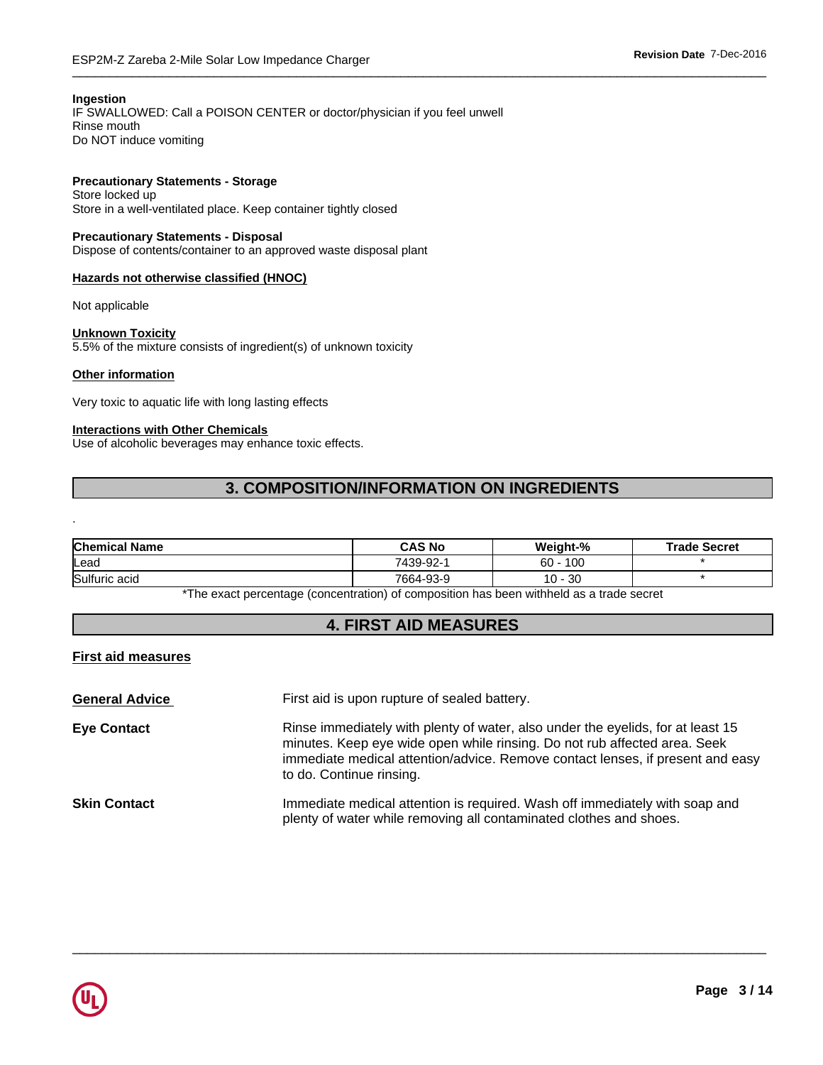# **Ingestion**

IF SWALLOWED: Call a POISON CENTER or doctor/physician if you feel unwell Rinse mouth Do NOT induce vomiting

# **Precautionary Statements - Storage**

Store locked up Store in a well-ventilated place. Keep container tightly closed

# **Precautionary Statements - Disposal**

Dispose of contents/container to an approved waste disposal plant

# **Hazards not otherwise classified (HNOC)**

Not applicable

# **Unknown Toxicity**

5.5% of the mixture consists of ingredient(s) of unknown toxicity

# **Other information**

.

Very toxic to aquatic life with long lasting effects

# **Interactions with Other Chemicals**

Use of alcoholic beverages may enhance toxic effects.

# **3. COMPOSITION/INFORMATION ON INGREDIENTS**

| <b>Chemical Name</b> | <b>CAS No</b> | Weight-%      | <b>Trade Secret</b> |
|----------------------|---------------|---------------|---------------------|
| lLead                | 7439-92-1     | 100<br>60     |                     |
| Sulfuric acid        | 7664-93-9     | $10 -$<br>-30 |                     |

\*The exact percentage (concentration) of composition has been withheld as a trade secret

# **4. FIRST AID MEASURES**

# **First aid measures**

| <b>General Advice</b> | First aid is upon rupture of sealed battery.                                                                                                                                                                                                                               |
|-----------------------|----------------------------------------------------------------------------------------------------------------------------------------------------------------------------------------------------------------------------------------------------------------------------|
| <b>Eye Contact</b>    | Rinse immediately with plenty of water, also under the eyelids, for at least 15<br>minutes. Keep eye wide open while rinsing. Do not rub affected area. Seek<br>immediate medical attention/advice. Remove contact lenses, if present and easy<br>to do. Continue rinsing. |
| <b>Skin Contact</b>   | Immediate medical attention is required. Wash off immediately with soap and<br>plenty of water while removing all contaminated clothes and shoes.                                                                                                                          |

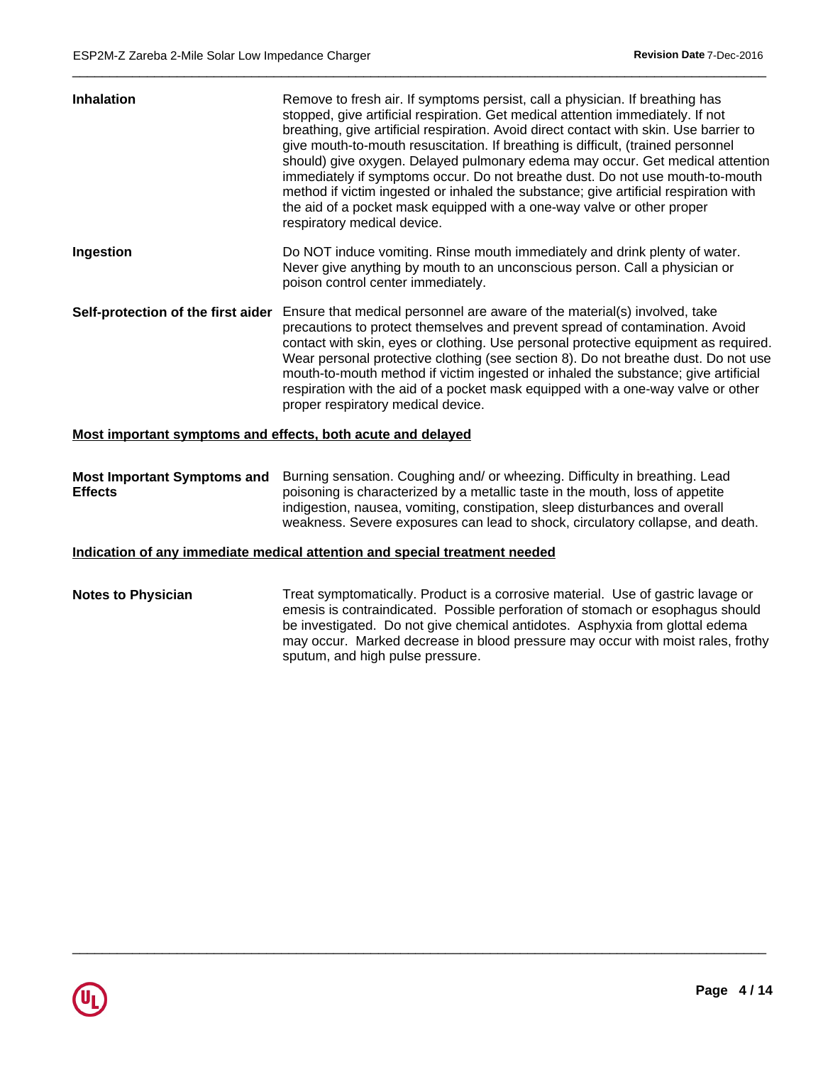| Inhalation                                                  | Remove to fresh air. If symptoms persist, call a physician. If breathing has<br>stopped, give artificial respiration. Get medical attention immediately. If not<br>breathing, give artificial respiration. Avoid direct contact with skin. Use barrier to<br>give mouth-to-mouth resuscitation. If breathing is difficult, (trained personnel<br>should) give oxygen. Delayed pulmonary edema may occur. Get medical attention<br>immediately if symptoms occur. Do not breathe dust. Do not use mouth-to-mouth<br>method if victim ingested or inhaled the substance; give artificial respiration with<br>the aid of a pocket mask equipped with a one-way valve or other proper<br>respiratory medical device. |
|-------------------------------------------------------------|------------------------------------------------------------------------------------------------------------------------------------------------------------------------------------------------------------------------------------------------------------------------------------------------------------------------------------------------------------------------------------------------------------------------------------------------------------------------------------------------------------------------------------------------------------------------------------------------------------------------------------------------------------------------------------------------------------------|
| Ingestion                                                   | Do NOT induce vomiting. Rinse mouth immediately and drink plenty of water.<br>Never give anything by mouth to an unconscious person. Call a physician or<br>poison control center immediately.                                                                                                                                                                                                                                                                                                                                                                                                                                                                                                                   |
| Self-protection of the first aider                          | Ensure that medical personnel are aware of the material(s) involved, take<br>precautions to protect themselves and prevent spread of contamination. Avoid<br>contact with skin, eyes or clothing. Use personal protective equipment as required.<br>Wear personal protective clothing (see section 8). Do not breathe dust. Do not use<br>mouth-to-mouth method if victim ingested or inhaled the substance; give artificial<br>respiration with the aid of a pocket mask equipped with a one-way valve or other<br>proper respiratory medical device.                                                                                                                                                           |
| Most important symptoms and effects, both acute and delayed |                                                                                                                                                                                                                                                                                                                                                                                                                                                                                                                                                                                                                                                                                                                  |
|                                                             | Most Important Symptoms and Burning sensation. Coughing and/ or wheezing. Difficulty in breathing. Lead                                                                                                                                                                                                                                                                                                                                                                                                                                                                                                                                                                                                          |

 $\overline{\phantom{a}}$  ,  $\overline{\phantom{a}}$  ,  $\overline{\phantom{a}}$  ,  $\overline{\phantom{a}}$  ,  $\overline{\phantom{a}}$  ,  $\overline{\phantom{a}}$  ,  $\overline{\phantom{a}}$  ,  $\overline{\phantom{a}}$  ,  $\overline{\phantom{a}}$  ,  $\overline{\phantom{a}}$  ,  $\overline{\phantom{a}}$  ,  $\overline{\phantom{a}}$  ,  $\overline{\phantom{a}}$  ,  $\overline{\phantom{a}}$  ,  $\overline{\phantom{a}}$  ,  $\overline{\phantom{a}}$ 

**Effects** poisoning is characterized by a metallic taste in the mouth, loss of appetite indigestion, nausea, vomiting, constipation, sleep disturbances and overall weakness. Severe exposures can lead to shock, circulatory collapse, and death.

# **Indication of any immediate medical attention and special treatment needed**

**Notes to Physician** Treat symptomatically. Product is a corrosive material. Use of gastric lavage or emesis is contraindicated. Possible perforation of stomach or esophagus should be investigated. Do not give chemical antidotes. Asphyxia from glottal edema may occur. Marked decrease in blood pressure may occur with moist rales, frothy sputum, and high pulse pressure.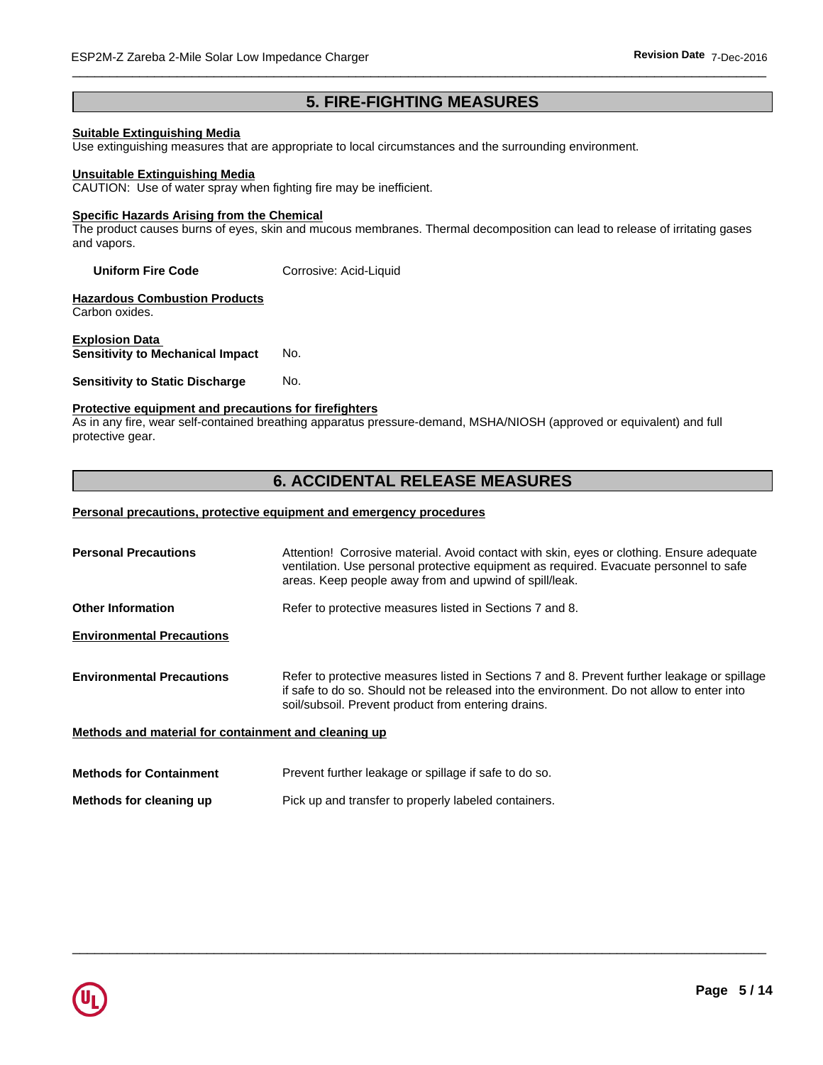# **5. FIRE-FIGHTING MEASURES**

# **Suitable Extinguishing Media**

Use extinguishing measures that are appropriate to local circumstances and the surrounding environment.

#### **Unsuitable Extinguishing Media**

CAUTION: Use of water spray when fighting fire may be inefficient.

### **Specific Hazards Arising from the Chemical**

The product causes burns of eyes, skin and mucous membranes. Thermal decomposition can lead to release of irritating gases and vapors.

**Uniform Fire Code** Corrosive: Acid-Liquid

**Hazardous Combustion Products** Carbon oxides.

**Explosion Data Sensitivity to Mechanical Impact** No.

#### **Sensitivity to Static Discharge No.**

# **Protective equipment and precautions for firefighters**

As in any fire, wear self-contained breathing apparatus pressure-demand, MSHA/NIOSH (approved or equivalent) and full protective gear.

# **6. ACCIDENTAL RELEASE MEASURES**

#### **Personal precautions, protective equipment and emergency procedures**

| <b>Personal Precautions</b>                          | Attention! Corrosive material. Avoid contact with skin, eyes or clothing. Ensure adequate<br>ventilation. Use personal protective equipment as required. Evacuate personnel to safe<br>areas. Keep people away from and upwind of spill/leak.    |
|------------------------------------------------------|--------------------------------------------------------------------------------------------------------------------------------------------------------------------------------------------------------------------------------------------------|
|                                                      |                                                                                                                                                                                                                                                  |
| <b>Other Information</b>                             | Refer to protective measures listed in Sections 7 and 8.                                                                                                                                                                                         |
| <b>Environmental Precautions</b>                     |                                                                                                                                                                                                                                                  |
| <b>Environmental Precautions</b>                     | Refer to protective measures listed in Sections 7 and 8. Prevent further leakage or spillage<br>if safe to do so. Should not be released into the environment. Do not allow to enter into<br>soil/subsoil. Prevent product from entering drains. |
| Methods and material for containment and cleaning up |                                                                                                                                                                                                                                                  |
| <b>Methods for Containment</b>                       | Prevent further leakage or spillage if safe to do so.                                                                                                                                                                                            |
| Methods for cleaning up                              | Pick up and transfer to properly labeled containers.                                                                                                                                                                                             |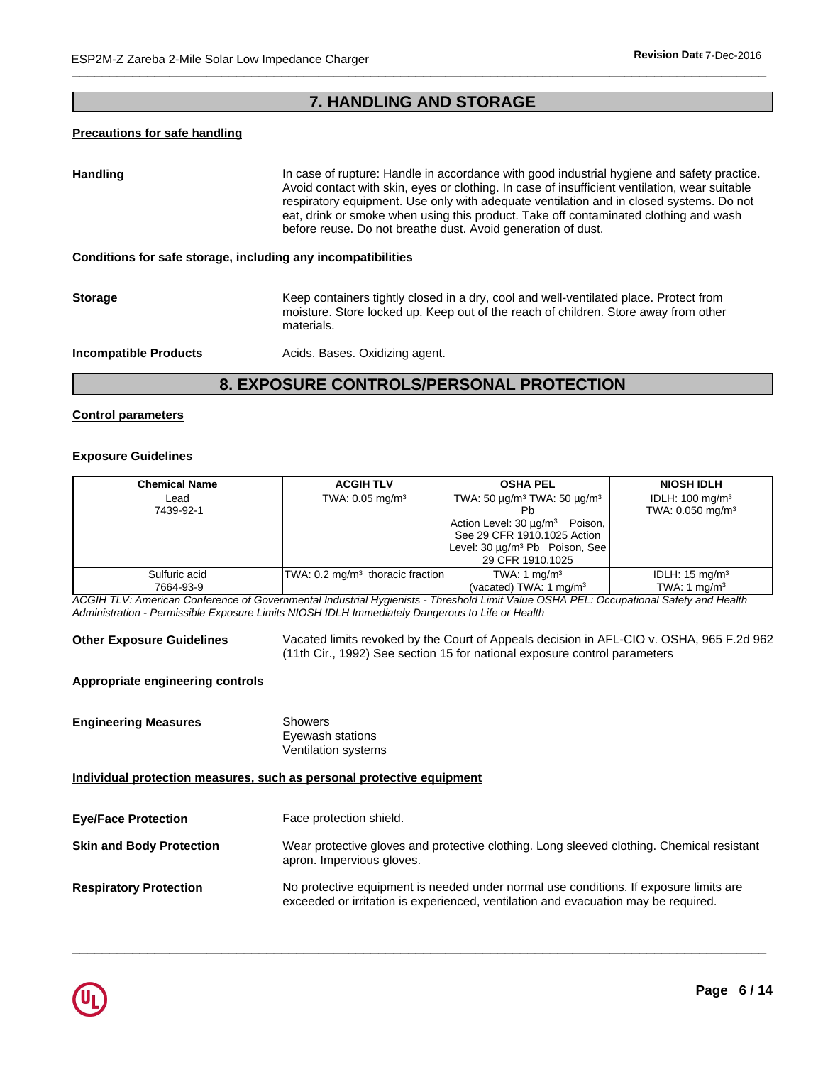# **7. HANDLING AND STORAGE**

# **Precautions for safe handling**

Handling **In case of rupture: Handle in accordance with good industrial hygiene and safety practice.** Avoid contact with skin, eyes or clothing. In case of insufficient ventilation, wear suitable respiratory equipment. Use only with adequate ventilation and in closed systems. Do not eat, drink or smoke when using this product. Take off contaminated clothing and wash before reuse. Do not breathe dust. Avoid generation of dust.

### **Conditions for safe storage, including any incompatibilities**

**Storage Storage Keep containers tightly closed in a dry, cool and well-ventilated place. Protect from** moisture. Store locked up. Keep out of the reach of children. Store away from other materials.

**Incompatible Products Acids. Bases. Oxidizing agent.** 

# **8. EXPOSURE CONTROLS/PERSONAL PROTECTION**

# **Control parameters**

# **Exposure Guidelines**

| <b>Chemical Name</b> | <b>ACGIH TLV</b>                    | <b>OSHA PEL</b>                                               | <b>NIOSH IDLH</b>            |
|----------------------|-------------------------------------|---------------------------------------------------------------|------------------------------|
| Lead                 | TWA: $0.05$ mg/m <sup>3</sup>       | TWA: 50 $\mu$ g/m <sup>3</sup> TWA: 50 $\mu$ g/m <sup>3</sup> | IDLH: $100 \text{ mg/m}^3$   |
| 7439-92-1            |                                     |                                                               | TWA: 0.050 mg/m <sup>3</sup> |
|                      |                                     | Action Level: 30 µg/m <sup>3</sup><br>Poison,                 |                              |
|                      |                                     | See 29 CFR 1910.1025 Action                                   |                              |
|                      |                                     | Level: 30 µg/m <sup>3</sup> Pb Poison, See                    |                              |
|                      |                                     | 29 CFR 1910.1025                                              |                              |
| Sulfuric acid        | $ TWA: 0.2 mg/m3$ thoracic fraction | TWA: 1 mg/m <sup>3</sup>                                      | IDLH: $15 \text{ mg/m}^3$    |
| 7664-93-9            |                                     | (vacated) TWA: $1 \text{ mg/m}^3$                             | TWA: 1 $mq/m3$               |
|                      |                                     |                                                               |                              |

*ACGIH TLV: American Conference of Governmental Industrial Hygienists - Threshold Limit Value OSHA PEL: Occupational Safety and Health Administration - Permissible Exposure Limits NIOSH IDLH Immediately Dangerous to Life or Health*

**Other Exposure Guidelines** Vacated limits revoked by the Court of Appeals decision in AFL-CIO v. OSHA, 965 F.2d 962 (11th Cir., 1992) See section 15 for national exposure control parameters

# **Appropriate engineering controls**

**Engineering Measures** Showers

Eyewash stations Ventilation systems

# **Individual protection measures, such as personal protective equipment**

| <b>Eye/Face Protection</b>      | Face protection shield.                                                                                                                                                     |
|---------------------------------|-----------------------------------------------------------------------------------------------------------------------------------------------------------------------------|
| <b>Skin and Body Protection</b> | Wear protective gloves and protective clothing. Long sleeved clothing. Chemical resistant<br>apron. Impervious gloves.                                                      |
| <b>Respiratory Protection</b>   | No protective equipment is needed under normal use conditions. If exposure limits are<br>exceeded or irritation is experienced, ventilation and evacuation may be required. |

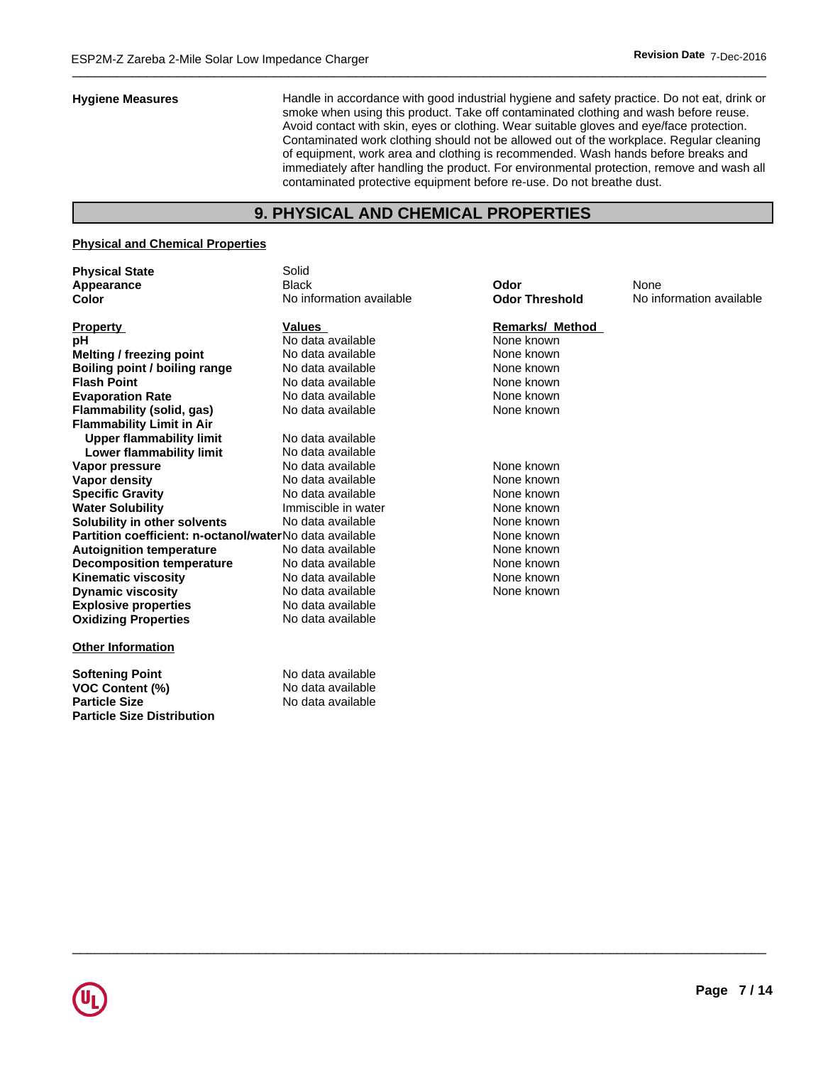**Hygiene Measures** Handle in accordance with good industrial hygiene and safety practice. Do not eat, drink or smoke when using this product. Take off contaminated clothing and wash before reuse. Avoid contact with skin, eyes or clothing. Wear suitable gloves and eye/face protection. Contaminated work clothing should not be allowed out of the workplace. Regular cleaning of equipment, work area and clothing is recommended. Wash hands before breaks and immediately after handling the product. For environmental protection, remove and wash all contaminated protective equipment before re-use. Do not breathe dust.

# **9. PHYSICAL AND CHEMICAL PROPERTIES**

# **Physical and Chemical Properties**

**Particle Size Distribution**

| <b>Physical State</b>                                   | Solid                    |                        |                          |
|---------------------------------------------------------|--------------------------|------------------------|--------------------------|
| Appearance                                              | <b>Black</b>             | Odor                   | None                     |
| Color                                                   | No information available | <b>Odor Threshold</b>  | No information available |
| <b>Property</b>                                         | <b>Values</b>            | <b>Remarks/ Method</b> |                          |
| рH                                                      | No data available        | None known             |                          |
| Melting / freezing point                                | No data available        | None known             |                          |
| Boiling point / boiling range                           | No data available        | None known             |                          |
| <b>Flash Point</b>                                      | No data available        | None known             |                          |
| <b>Evaporation Rate</b>                                 | No data available        | None known             |                          |
| Flammability (solid, gas)                               | No data available        | None known             |                          |
| <b>Flammability Limit in Air</b>                        |                          |                        |                          |
| <b>Upper flammability limit</b>                         | No data available        |                        |                          |
| Lower flammability limit                                | No data available        |                        |                          |
| Vapor pressure                                          | No data available        | None known             |                          |
| <b>Vapor density</b>                                    | No data available        | None known             |                          |
| <b>Specific Gravity</b>                                 | No data available        | None known             |                          |
| <b>Water Solubility</b>                                 | Immiscible in water      | None known             |                          |
| Solubility in other solvents                            | No data available        | None known             |                          |
| Partition coefficient: n-octanol/waterNo data available |                          | None known             |                          |
| <b>Autoignition temperature</b>                         | No data available        | None known             |                          |
| <b>Decomposition temperature</b>                        | No data available        | None known             |                          |
| <b>Kinematic viscosity</b>                              | No data available        | None known             |                          |
| <b>Dynamic viscosity</b>                                | No data available        | None known             |                          |
| <b>Explosive properties</b>                             | No data available        |                        |                          |
| <b>Oxidizing Properties</b>                             | No data available        |                        |                          |
| <b>Other Information</b>                                |                          |                        |                          |
| <b>Softening Point</b>                                  | No data available        |                        |                          |
| <b>VOC Content (%)</b>                                  | No data available        |                        |                          |
| <b>Particle Size</b>                                    | No data available        |                        |                          |

#### **Remarks/ Method**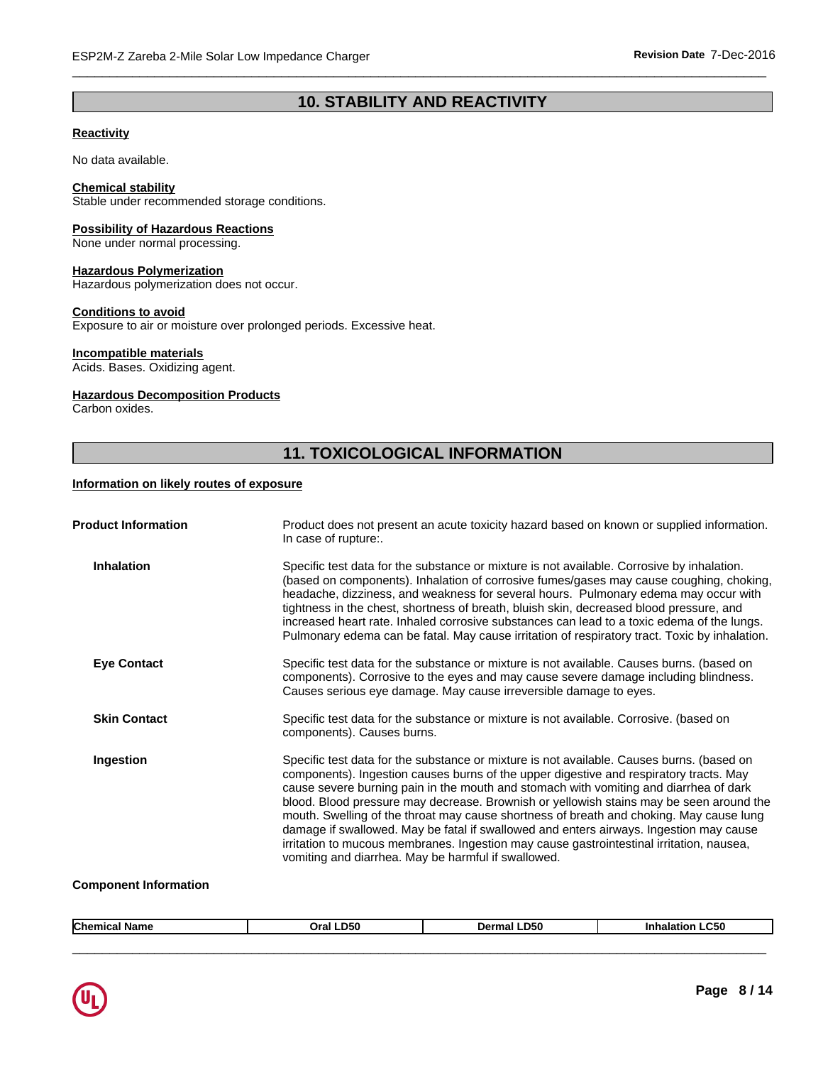# **10. STABILITY AND REACTIVITY**

 $\overline{\phantom{a}}$  ,  $\overline{\phantom{a}}$  ,  $\overline{\phantom{a}}$  ,  $\overline{\phantom{a}}$  ,  $\overline{\phantom{a}}$  ,  $\overline{\phantom{a}}$  ,  $\overline{\phantom{a}}$  ,  $\overline{\phantom{a}}$  ,  $\overline{\phantom{a}}$  ,  $\overline{\phantom{a}}$  ,  $\overline{\phantom{a}}$  ,  $\overline{\phantom{a}}$  ,  $\overline{\phantom{a}}$  ,  $\overline{\phantom{a}}$  ,  $\overline{\phantom{a}}$  ,  $\overline{\phantom{a}}$ 

# **Reactivity**

No data available.

# **Chemical stability**

Stable under recommended storage conditions.

### **Possibility of Hazardous Reactions**

None under normal processing.

# **Hazardous Polymerization**

Hazardous polymerization does not occur.

# **Conditions to avoid**

Exposure to air or moisture over prolonged periods. Excessive heat.

# **Incompatible materials**

Acids. Bases. Oxidizing agent.

# **Hazardous Decomposition Products**

Carbon oxides.

# **11. TOXICOLOGICAL INFORMATION**

# **Information on likely routes of exposure**

| Product does not present an acute toxicity hazard based on known or supplied information.<br>In case of rupture:.                                                                                                                                                                                                                                                                                                                                                                                                                                                                                                                                                                                               |
|-----------------------------------------------------------------------------------------------------------------------------------------------------------------------------------------------------------------------------------------------------------------------------------------------------------------------------------------------------------------------------------------------------------------------------------------------------------------------------------------------------------------------------------------------------------------------------------------------------------------------------------------------------------------------------------------------------------------|
| Specific test data for the substance or mixture is not available. Corrosive by inhalation.<br>(based on components). Inhalation of corrosive fumes/gases may cause coughing, choking,<br>headache, dizziness, and weakness for several hours. Pulmonary edema may occur with<br>tightness in the chest, shortness of breath, bluish skin, decreased blood pressure, and<br>increased heart rate. Inhaled corrosive substances can lead to a toxic edema of the lungs.<br>Pulmonary edema can be fatal. May cause irritation of respiratory tract. Toxic by inhalation.                                                                                                                                          |
| Specific test data for the substance or mixture is not available. Causes burns. (based on<br>components). Corrosive to the eyes and may cause severe damage including blindness.<br>Causes serious eye damage. May cause irreversible damage to eyes.                                                                                                                                                                                                                                                                                                                                                                                                                                                           |
| Specific test data for the substance or mixture is not available. Corrosive. (based on<br>components). Causes burns.                                                                                                                                                                                                                                                                                                                                                                                                                                                                                                                                                                                            |
| Specific test data for the substance or mixture is not available. Causes burns. (based on<br>components). Ingestion causes burns of the upper digestive and respiratory tracts. May<br>cause severe burning pain in the mouth and stomach with vomiting and diarrhea of dark<br>blood. Blood pressure may decrease. Brownish or yellowish stains may be seen around the<br>mouth. Swelling of the throat may cause shortness of breath and choking. May cause lung<br>damage if swallowed. May be fatal if swallowed and enters airways. Ingestion may cause<br>irritation to mucous membranes. Ingestion may cause gastrointestinal irritation, nausea,<br>vomiting and diarrhea. May be harmful if swallowed. |
|                                                                                                                                                                                                                                                                                                                                                                                                                                                                                                                                                                                                                                                                                                                 |

#### **Component Information**

|--|

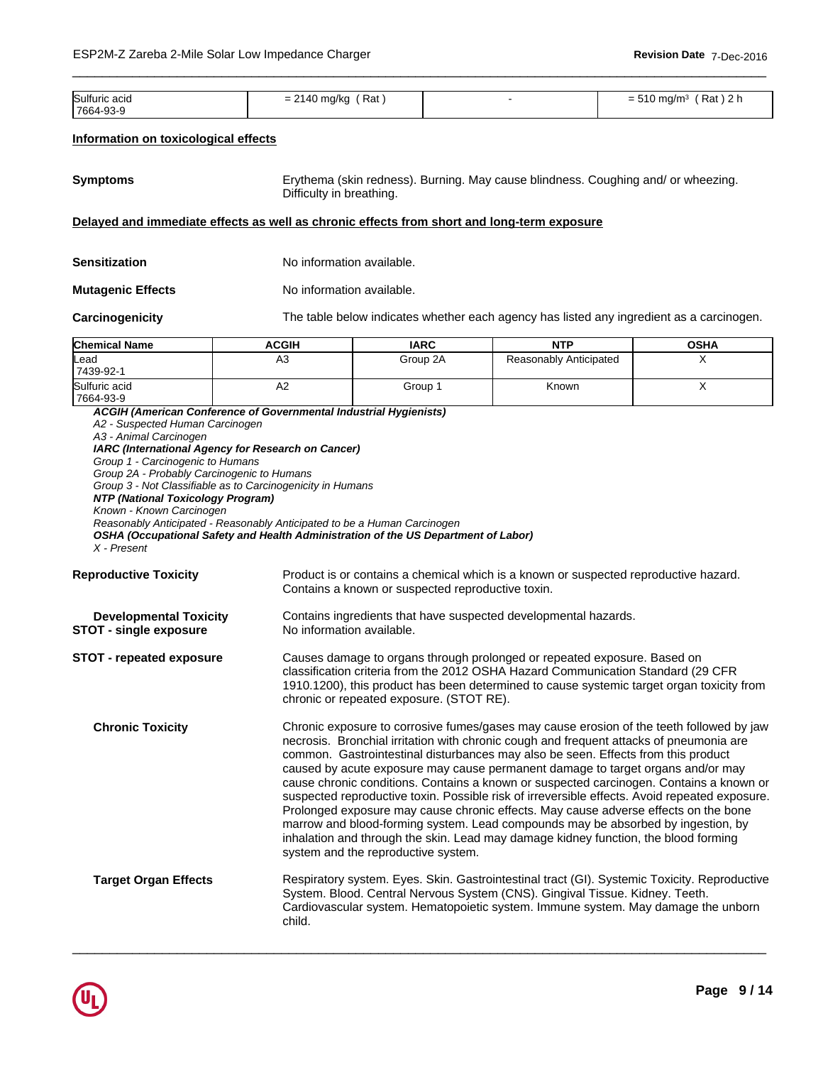| Sulfuric acid<br>. | Rat<br>ma/ko<br>. . | $\sim$<br>Rat<br>ma/m <sup>3</sup><br>_<br>$= 0.00$<br>. . |
|--------------------|---------------------|------------------------------------------------------------|
| 7664-93-9          |                     |                                                            |

 $\overline{\phantom{a}}$  ,  $\overline{\phantom{a}}$  ,  $\overline{\phantom{a}}$  ,  $\overline{\phantom{a}}$  ,  $\overline{\phantom{a}}$  ,  $\overline{\phantom{a}}$  ,  $\overline{\phantom{a}}$  ,  $\overline{\phantom{a}}$  ,  $\overline{\phantom{a}}$  ,  $\overline{\phantom{a}}$  ,  $\overline{\phantom{a}}$  ,  $\overline{\phantom{a}}$  ,  $\overline{\phantom{a}}$  ,  $\overline{\phantom{a}}$  ,  $\overline{\phantom{a}}$  ,  $\overline{\phantom{a}}$ 

### **Information on toxicological effects**

| <b>Symptoms</b> | Erythema (skin redness). Burning. May cause blindness. Coughing and/ or wheezing.<br>Difficulty in breathing. |
|-----------------|---------------------------------------------------------------------------------------------------------------|
|-----------------|---------------------------------------------------------------------------------------------------------------|

# **Delayed and immediate effects as well as chronic effects from short and long-term exposure**

| Sensitization            | No information available. |
|--------------------------|---------------------------|
| <b>Mutagenic Effects</b> | No information available. |
|                          |                           |

**Carcinogenicity** The table below indicates whether each agency has listed any ingredient as a carcinogen.

| <b>Chemical Name</b> | <b>ACGIH</b>                                                      | <b>IARC</b> | <b>NTP</b>             | <b>OSHA</b> |
|----------------------|-------------------------------------------------------------------|-------------|------------------------|-------------|
| Lead<br>7439-92-1    | A3                                                                | Group 2A    | Reasonably Anticipated |             |
|                      |                                                                   |             |                        |             |
| Sulfuric acid        | ⊣∠                                                                | Group 1     | Known                  |             |
| 7664-93-9            |                                                                   |             |                        |             |
|                      | ACGIH (American Conference of Governmental Industrial Hygienists) |             |                        |             |

*A2 - Suspected Human Carcinogen A3 - Animal Carcinogen IARC (International Agency for Research on Cancer) Group 1 - Carcinogenic to Humans Group 2A - Probably Carcinogenic to Humans Group 3 - Not Classifiable as to Carcinogenicity in Humans NTP (National Toxicology Program) Known - Known Carcinogen Reasonably Anticipated - Reasonably Anticipated to be a Human Carcinogen OSHA (Occupational Safety and Health Administration of the US Department of Labor) X - Present*

**Reproductive Toxicity** Product is or contains a chemical which is a known or suspected reproductive hazard. Contains a known or suspected reproductive toxin.

| <b>Developmental Toxicity</b> | Contains ingredients that have suspected developmental hazards. |
|-------------------------------|-----------------------------------------------------------------|
| <b>STOT - single exposure</b> | No information available.                                       |

**STOT - repeated exposure** Causes damage to organs through prolonged or repeated exposure. Based on classification criteria from the 2012 OSHA Hazard Communication Standard (29 CFR 1910.1200), this product has been determined to cause systemic target organ toxicity from chronic or repeated exposure. (STOT RE).

**Chronic Toxicity** Chronic exposure to corrosive fumes/gases may cause erosion of the teeth followed by jaw necrosis. Bronchial irritation with chronic cough and frequent attacks of pneumonia are common. Gastrointestinal disturbances may also be seen. Effects from this product caused by acute exposure may cause permanent damage to target organs and/or may cause chronic conditions. Contains a known or suspected carcinogen. Contains a known or suspected reproductive toxin. Possible risk of irreversible effects. Avoid repeated exposure. Prolonged exposure may cause chronic effects. May cause adverse effects on the bone marrow and blood-forming system. Lead compounds may be absorbed by ingestion, by inhalation and through the skin. Lead may damage kidney function, the blood forming system and the reproductive system.

# **Target Organ Effects** Respiratory system. Eyes. Skin. Gastrointestinal tract (GI). Systemic Toxicity. Reproductive System. Blood. Central Nervous System (CNS). Gingival Tissue. Kidney. Teeth. Cardiovascular system. Hematopoietic system. Immune system. May damage the unborn child.

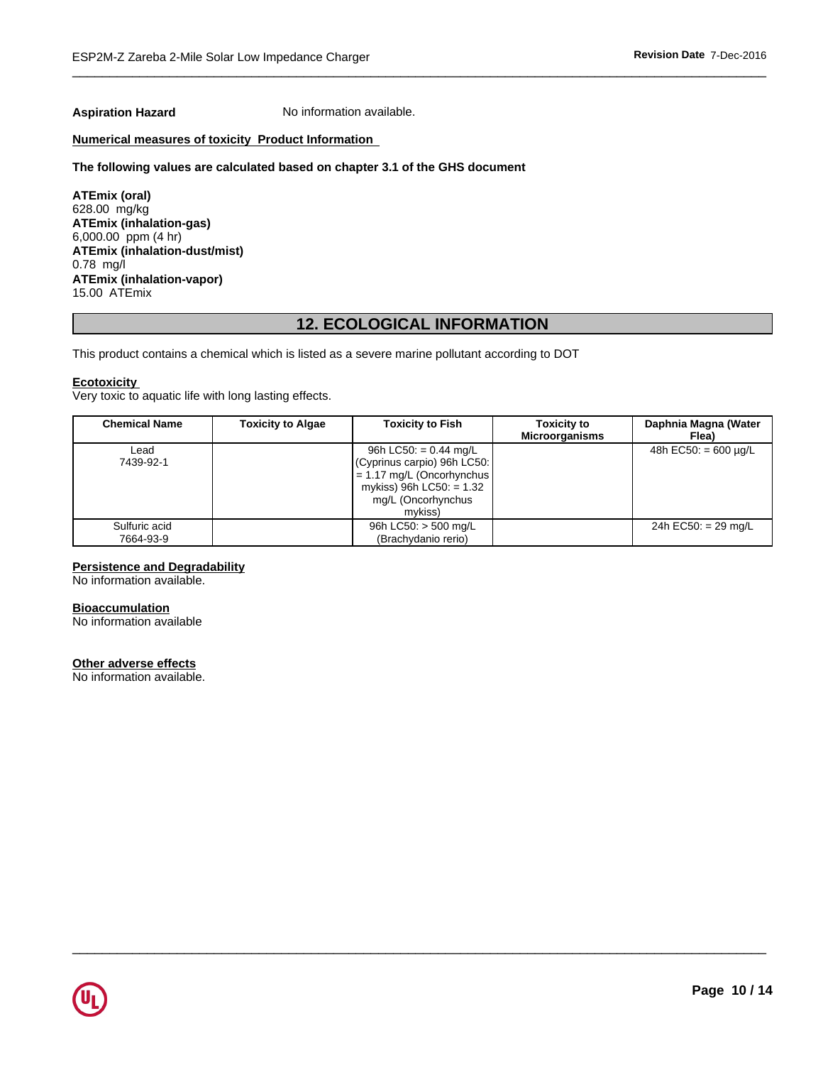**Aspiration Hazard** No information available.

# **Numerical measures of toxicity Product Information**

#### **The following values are calculated based on chapter 3.1 of the GHS document**

**ATEmix (oral)** 628.00 mg/kg **ATEmix (inhalation-gas)** 6,000.00 ppm (4 hr) **ATEmix (inhalation-dust/mist)** 0.78 mg/l **ATEmix (inhalation-vapor)** 15.00 ATEmix

# **12. ECOLOGICAL INFORMATION**

This product contains a chemical which is listed as a severe marine pollutant according to DOT

### **Ecotoxicity**

Very toxic to aquatic life with long lasting effects.

| <b>Chemical Name</b>       | <b>Toxicity to Algae</b> | <b>Toxicity to Fish</b>                                                                                                                                      | <b>Toxicity to</b><br><b>Microorganisms</b> | Daphnia Magna (Water<br>Flea) |
|----------------------------|--------------------------|--------------------------------------------------------------------------------------------------------------------------------------------------------------|---------------------------------------------|-------------------------------|
| Lead<br>7439-92-1          |                          | 96h LC50: = $0.44 \text{ mg/L}$<br>(Cyprinus carpio) 96h LC50:<br>$= 1.17$ mg/L (Oncorhynchus<br>mykiss) 96h LC50: $= 1.32$<br>mg/L (Oncorhynchus<br>mvkiss) |                                             | 48h EC50: $= 600 \mu q/L$     |
| Sulfuric acid<br>7664-93-9 |                          | 96h LC50: $>$ 500 mg/L<br>(Brachydanio rerio)                                                                                                                |                                             | 24h EC50: $= 29$ mg/L         |

 $\overline{\phantom{a}}$  ,  $\overline{\phantom{a}}$  ,  $\overline{\phantom{a}}$  ,  $\overline{\phantom{a}}$  ,  $\overline{\phantom{a}}$  ,  $\overline{\phantom{a}}$  ,  $\overline{\phantom{a}}$  ,  $\overline{\phantom{a}}$  ,  $\overline{\phantom{a}}$  ,  $\overline{\phantom{a}}$  ,  $\overline{\phantom{a}}$  ,  $\overline{\phantom{a}}$  ,  $\overline{\phantom{a}}$  ,  $\overline{\phantom{a}}$  ,  $\overline{\phantom{a}}$  ,  $\overline{\phantom{a}}$ 

# **Persistence and Degradability**

No information available.

# **Bioaccumulation**

No information available

### **Other adverse effects**

No information available.

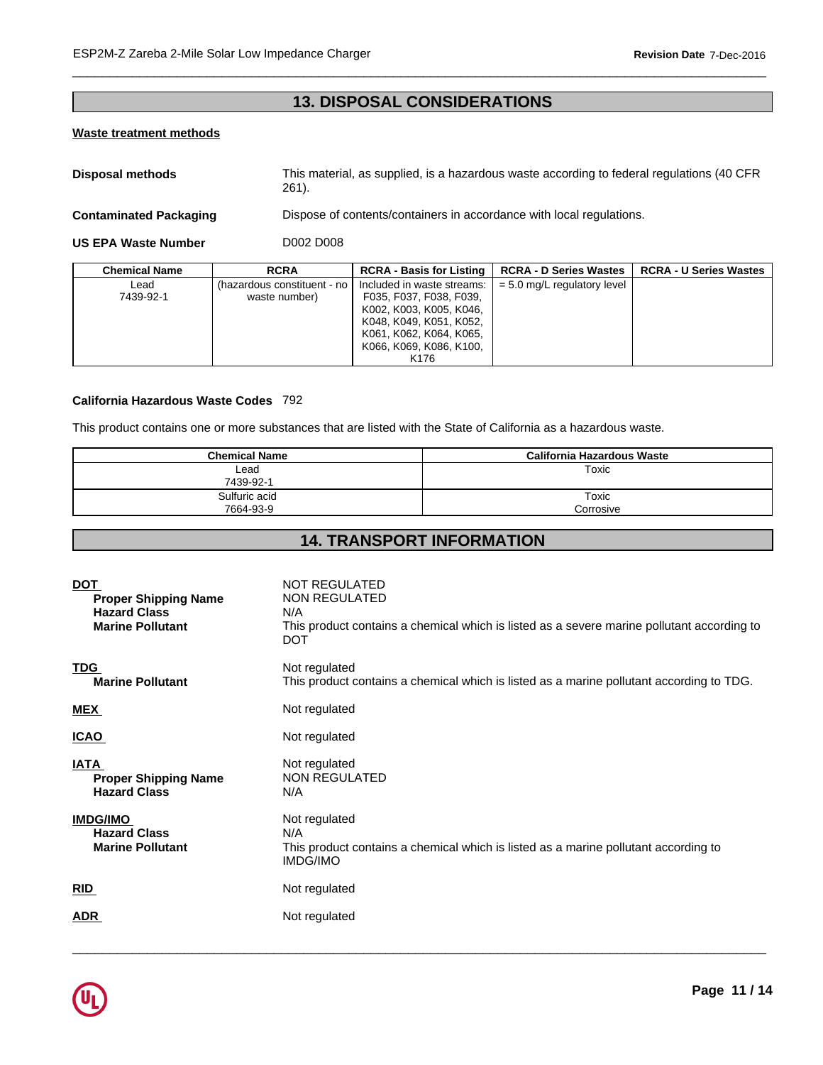# **13. DISPOSAL CONSIDERATIONS**

 $\overline{\phantom{a}}$  ,  $\overline{\phantom{a}}$  ,  $\overline{\phantom{a}}$  ,  $\overline{\phantom{a}}$  ,  $\overline{\phantom{a}}$  ,  $\overline{\phantom{a}}$  ,  $\overline{\phantom{a}}$  ,  $\overline{\phantom{a}}$  ,  $\overline{\phantom{a}}$  ,  $\overline{\phantom{a}}$  ,  $\overline{\phantom{a}}$  ,  $\overline{\phantom{a}}$  ,  $\overline{\phantom{a}}$  ,  $\overline{\phantom{a}}$  ,  $\overline{\phantom{a}}$  ,  $\overline{\phantom{a}}$ 

# **Waste treatment methods**

**Disposal methods** This material, as supplied, is a hazardous waste according to federal regulations (40 CFR 261).

**Contaminated Packaging <b>Dispose** of contents/containers in accordance with local regulations.

**US EPA Waste Number** D002 D008

| <b>Chemical Name</b> | <b>RCRA</b>                                    | <b>RCRA - Basis for Listing  </b>                                                                                                      | <b>RCRA - D Series Wastes</b> | <b>RCRA - U Series Wastes</b> |
|----------------------|------------------------------------------------|----------------------------------------------------------------------------------------------------------------------------------------|-------------------------------|-------------------------------|
| ∟ead<br>7439-92-1    | (hazardous constituent - no l<br>waste number) | Included in waste streams:<br>F035, F037, F038, F039,<br>K002, K003, K005, K046,<br>K048, K049, K051, K052,<br>K061, K062, K064, K065, | $= 5.0$ mg/L regulatory level |                               |
|                      |                                                | K066, K069, K086, K100,<br>K <sub>176</sub>                                                                                            |                               |                               |

# **California Hazardous Waste Codes** 792

This product contains one or more substances that are listed with the State of California as a hazardous waste.

| <b>Chemical Name</b> | California Hazardous Waste |
|----------------------|----------------------------|
| Lead                 | Toxic                      |
| 7439-92-1            |                            |
| Sulfuric acid        | Toxic                      |
| 7664-93-9            | Corrosive                  |

# **14. TRANSPORT INFORMATION**

| <b>DOT</b><br><b>Proper Shipping Name</b><br><b>Hazard Class</b><br><b>Marine Pollutant</b> | <b>NOT REGULATED</b><br>NON REGULATED<br>N/A<br>This product contains a chemical which is listed as a severe marine pollutant according to<br><b>DOT</b> |
|---------------------------------------------------------------------------------------------|----------------------------------------------------------------------------------------------------------------------------------------------------------|
| <b>TDG</b><br><b>Marine Pollutant</b>                                                       | Not regulated<br>This product contains a chemical which is listed as a marine pollutant according to TDG.                                                |
| <b>MEX</b>                                                                                  | Not regulated                                                                                                                                            |
| <u>ICAO</u>                                                                                 | Not regulated                                                                                                                                            |
| <b>IATA</b><br><b>Proper Shipping Name</b><br><b>Hazard Class</b>                           | Not regulated<br>NON REGULATED<br>N/A                                                                                                                    |
| <b>IMDG/IMO</b><br><b>Hazard Class</b><br><b>Marine Pollutant</b>                           | Not regulated<br>N/A<br>This product contains a chemical which is listed as a marine pollutant according to<br>IMDG/IMO                                  |
| <b>RID</b>                                                                                  | Not regulated                                                                                                                                            |
| <b>ADR</b>                                                                                  | Not regulated                                                                                                                                            |
|                                                                                             |                                                                                                                                                          |

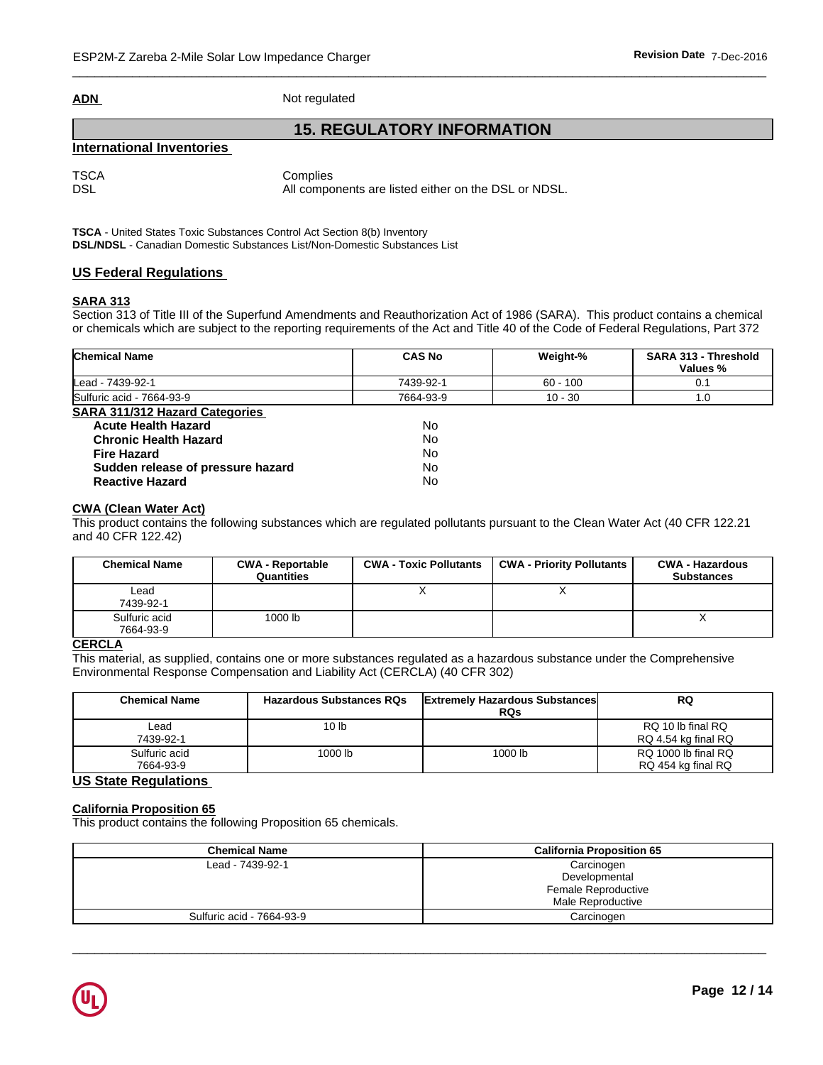|--|

**Not regulated** 

# **15. REGULATORY INFORMATION**

# **International Inventories**

TSCA Complies DSL DSL All components are listed either on the DSL or NDSL.

**TSCA** - United States Toxic Substances Control Act Section 8(b) Inventory

**DSL/NDSL** - Canadian Domestic Substances List/Non-Domestic Substances List

# **US Federal Regulations**

# **SARA 313**

Section 313 of Title III of the Superfund Amendments and Reauthorization Act of 1986 (SARA). This product contains a chemical or chemicals which are subject to the reporting requirements of the Act and Title 40 of the Code of Federal Regulations, Part 372

| <b>Chemical Name</b>                  | <b>CAS No</b> | Weight-%   | SARA 313 - Threshold<br>Values % |
|---------------------------------------|---------------|------------|----------------------------------|
| Lead - 7439-92-1                      | 7439-92-1     | $60 - 100$ | 0.1                              |
| Sulfuric acid - 7664-93-9             | 7664-93-9     | $10 - 30$  | 1.0                              |
| <b>SARA 311/312 Hazard Categories</b> |               |            |                                  |
| <b>Acute Health Hazard</b>            | <b>No</b>     |            |                                  |
| <b>Chronic Health Hazard</b>          | No            |            |                                  |
| <b>Fire Hazard</b>                    | <b>No</b>     |            |                                  |
| Sudden release of pressure hazard     | No            |            |                                  |
| <b>Reactive Hazard</b>                | No            |            |                                  |

# **CWA (Clean Water Act)**

This product contains the following substances which are regulated pollutants pursuant to the Clean Water Act (40 CFR 122.21 and 40 CFR 122.42)

| <b>Chemical Name</b>       | <b>CWA - Reportable</b><br>Quantities | <b>CWA - Toxic Pollutants</b> | <b>CWA - Priority Pollutants</b> | <b>CWA - Hazardous</b><br><b>Substances</b> |
|----------------------------|---------------------------------------|-------------------------------|----------------------------------|---------------------------------------------|
| Lead<br>7439-92-1          |                                       |                               |                                  |                                             |
| Sulfuric acid<br>7664-93-9 | 1000 lb                               |                               |                                  | $\lambda$                                   |

# **CERCLA**

This material, as supplied, contains one or more substances regulated as a hazardous substance under the Comprehensive Environmental Response Compensation and Liability Act (CERCLA) (40 CFR 302)

| <b>Chemical Name</b>       | <b>Hazardous Substances RQs</b> | <b>Extremely Hazardous Substances</b><br><b>RQs</b> | <b>RQ</b>                                 |
|----------------------------|---------------------------------|-----------------------------------------------------|-------------------------------------------|
| ∟ead<br>7439-92-1          | 10 <sub>lb</sub>                |                                                     | RQ 10 lb final RQ<br>RQ 4.54 kg final RQ  |
| Sulfuric acid<br>7664-93-9 | 1000 lb                         | 1000 lb                                             | RQ 1000 lb final RQ<br>RQ 454 kg final RQ |

# **US State Regulations**

# **California Proposition 65**

This product contains the following Proposition 65 chemicals.

| <b>Chemical Name</b>      | <b>California Proposition 65</b> |  |  |
|---------------------------|----------------------------------|--|--|
| Lead - 7439-92-1          | Carcinogen                       |  |  |
|                           | Developmental                    |  |  |
|                           | Female Reproductive              |  |  |
|                           | Male Reproductive                |  |  |
| Sulfuric acid - 7664-93-9 | Carcinogen                       |  |  |

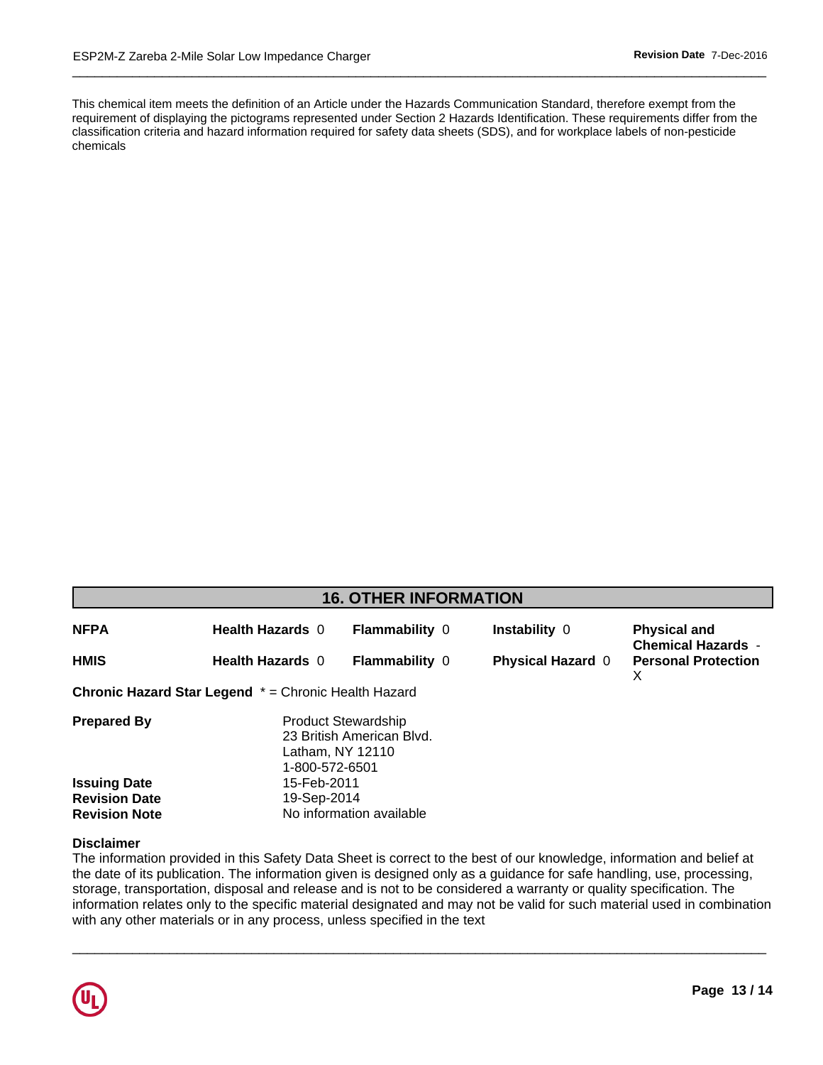This chemical item meets the definition of an Article under the Hazards Communication Standard, therefore exempt from the . classification criteria and hazard information required for safety data sheets (SDS), and for workplace labels of non-pesticide requirement of displaying the pictograms represented under Section 2 Hazards Identification. These requirements differ from the chemicals

 $\overline{\phantom{a}}$  ,  $\overline{\phantom{a}}$  ,  $\overline{\phantom{a}}$  ,  $\overline{\phantom{a}}$  ,  $\overline{\phantom{a}}$  ,  $\overline{\phantom{a}}$  ,  $\overline{\phantom{a}}$  ,  $\overline{\phantom{a}}$  ,  $\overline{\phantom{a}}$  ,  $\overline{\phantom{a}}$  ,  $\overline{\phantom{a}}$  ,  $\overline{\phantom{a}}$  ,  $\overline{\phantom{a}}$  ,  $\overline{\phantom{a}}$  ,  $\overline{\phantom{a}}$  ,  $\overline{\phantom{a}}$ 

| <b>16. OTHER INFORMATION</b>                |                                                      |                                                                             |                          |                                                  |  |  |  |
|---------------------------------------------|------------------------------------------------------|-----------------------------------------------------------------------------|--------------------------|--------------------------------------------------|--|--|--|
| <b>NFPA</b>                                 | <b>Health Hazards 0</b>                              | <b>Flammability 0</b>                                                       | Instability 0            | <b>Physical and</b><br><b>Chemical Hazards -</b> |  |  |  |
| <b>HMIS</b>                                 | <b>Health Hazards 0</b>                              | Flammability 0                                                              | <b>Physical Hazard 0</b> | <b>Personal Protection</b><br>X.                 |  |  |  |
|                                             | Chronic Hazard Star Legend * = Chronic Health Hazard |                                                                             |                          |                                                  |  |  |  |
| <b>Prepared By</b>                          | 1-800-572-6501                                       | <b>Product Stewardship</b><br>23 British American Blvd.<br>Latham, NY 12110 |                          |                                                  |  |  |  |
| <b>Issuing Date</b><br><b>Revision Date</b> | 15-Feb-2011<br>19-Sep-2014                           |                                                                             |                          |                                                  |  |  |  |
| <b>Revision Note</b>                        |                                                      | No information available                                                    |                          |                                                  |  |  |  |

# **Disclaimer**

The information provided in this Safety Data Sheet is correct to the best of our knowledge, information and belief at the date of its publication. The information given is designed only as a guidance for safe handling, use, processing, storage, transportation, disposal and release and is not to be considered a warranty or quality specification. The information relates only to the specific material designated and may not be valid for such material used in combination with any other materials or in any process, unless specified in the text